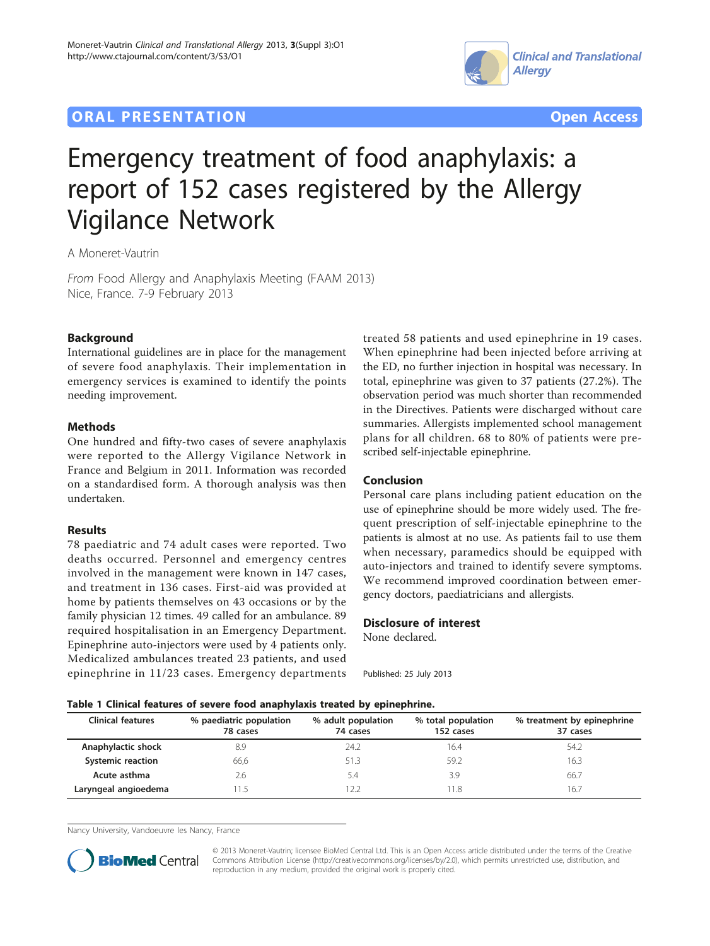## **ORAL PRESENTATION ORAL PRESENTATION**





# Emergency treatment of food anaphylaxis: a report of 152 cases registered by the Allergy Vigilance Network

A Moneret-Vautrin

From Food Allergy and Anaphylaxis Meeting (FAAM 2013) Nice, France. 7-9 February 2013

#### Background

International guidelines are in place for the management of severe food anaphylaxis. Their implementation in emergency services is examined to identify the points needing improvement.

#### Methods

One hundred and fifty-two cases of severe anaphylaxis were reported to the Allergy Vigilance Network in France and Belgium in 2011. Information was recorded on a standardised form. A thorough analysis was then undertaken.

#### Results

78 paediatric and 74 adult cases were reported. Two deaths occurred. Personnel and emergency centres involved in the management were known in 147 cases, and treatment in 136 cases. First-aid was provided at home by patients themselves on 43 occasions or by the family physician 12 times. 49 called for an ambulance. 89 required hospitalisation in an Emergency Department. Epinephrine auto-injectors were used by 4 patients only. Medicalized ambulances treated 23 patients, and used epinephrine in 11/23 cases. Emergency departments treated 58 patients and used epinephrine in 19 cases. When epinephrine had been injected before arriving at the ED, no further injection in hospital was necessary. In total, epinephrine was given to 37 patients (27.2%). The observation period was much shorter than recommended in the Directives. Patients were discharged without care summaries. Allergists implemented school management plans for all children. 68 to 80% of patients were prescribed self-injectable epinephrine.

### Conclusion

Personal care plans including patient education on the use of epinephrine should be more widely used. The frequent prescription of self-injectable epinephrine to the patients is almost at no use. As patients fail to use them when necessary, paramedics should be equipped with auto-injectors and trained to identify severe symptoms. We recommend improved coordination between emergency doctors, paediatricians and allergists.

#### Disclosure of interest

None declared.

Published: 25 July 2013

#### Table 1 Clinical features of severe food anaphylaxis treated by epinephrine.

| <b>Clinical features</b> | % paediatric population<br>78 cases | % adult population<br>74 cases | % total population<br>152 cases | % treatment by epinephrine<br>37 cases |
|--------------------------|-------------------------------------|--------------------------------|---------------------------------|----------------------------------------|
| Anaphylactic shock       | 8.9                                 | 24.2                           | 16.4                            | 54.2                                   |
| <b>Systemic reaction</b> | 66.6                                | 51.3                           | 59.2                            | 16.3                                   |
| Acute asthma             | 2.6                                 | 5.4                            | 3.9                             | 66.7                                   |
| Laryngeal angioedema     | 11.5                                |                                | . 1.8                           | 16.7                                   |

Nancy University, Vandoeuvre les Nancy, France



© 2013 Moneret-Vautrin; licensee BioMed Central Ltd. This is an Open Access article distributed under the terms of the Creative Commons Attribution License [\(http://creativecommons.org/licenses/by/2.0](http://creativecommons.org/licenses/by/2.0)), which permits unrestricted use, distribution, and reproduction in any medium, provided the original work is properly cited.